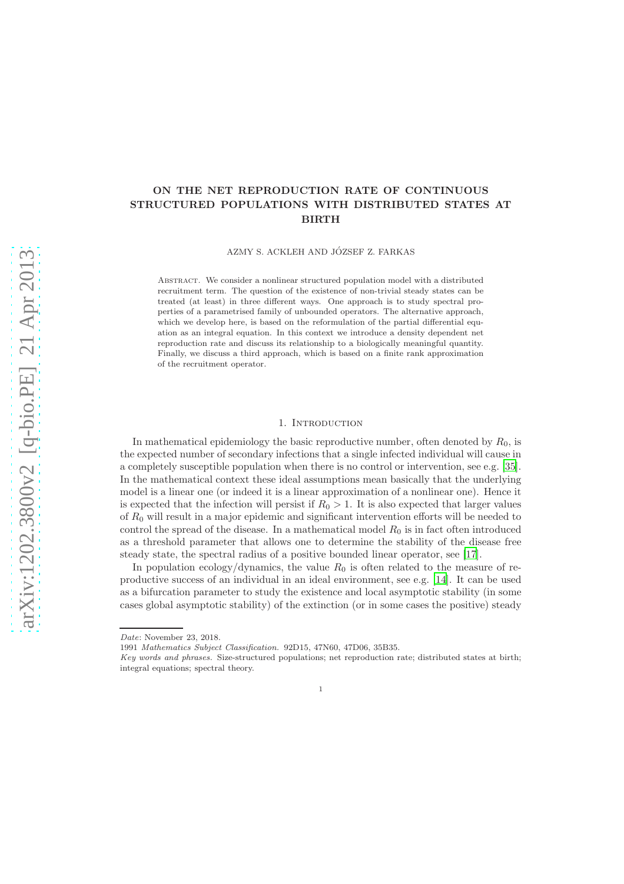# ON THE NET REPRODUCTION RATE OF CONTINUOUS STRUCTURED POPULATIONS WITH DISTRIBUTED STATES AT BIRTH

AZMY S. ACKLEH AND JÓZSEF Z. FARKAS

ABSTRACT. We consider a nonlinear structured population model with a distributed recruitment term. The question of the existence of non-trivial steady states can be treated (at least) in three different ways. One approach is to study spectral properties of a parametrised family of unbounded operators. The alternative approach, which we develop here, is based on the reformulation of the partial differential equation as an integral equation. In this context we introduce a density dependent net reproduction rate and discuss its relationship to a biologically meaningful quantity. Finally, we discuss a third approach, which is based on a finite rank approximation of the recruitment operator.

### 1. INTRODUCTION

In mathematical epidemiology the basic reproductive number, often denoted by  $R_0$ , is the expected number of secondary infections that a single infected individual will cause in a completely susceptible population when there is no control or intervention, see e.g. [\[35\]](#page-16-0). In the mathematical context these ideal assumptions mean basically that the underlying model is a linear one (or indeed it is a linear approximation of a nonlinear one). Hence it is expected that the infection will persist if  $R_0 > 1$ . It is also expected that larger values of  $R_0$  will result in a major epidemic and significant intervention efforts will be needed to control the spread of the disease. In a mathematical model  $R_0$  is in fact often introduced as a threshold parameter that allows one to determine the stability of the disease free steady state, the spectral radius of a positive bounded linear operator, see [\[17](#page-15-0)].

In population ecology/dynamics, the value  $R_0$  is often related to the measure of reproductive success of an individual in an ideal environment, see e.g. [\[14\]](#page-15-1). It can be used as a bifurcation parameter to study the existence and local asymptotic stability (in some cases global asymptotic stability) of the extinction (or in some cases the positive) steady

1

Date: November 23, 2018.

<sup>1991</sup> Mathematics Subject Classification. 92D15, 47N60, 47D06, 35B35.

Key words and phrases. Size-structured populations; net reproduction rate; distributed states at birth; integral equations; spectral theory.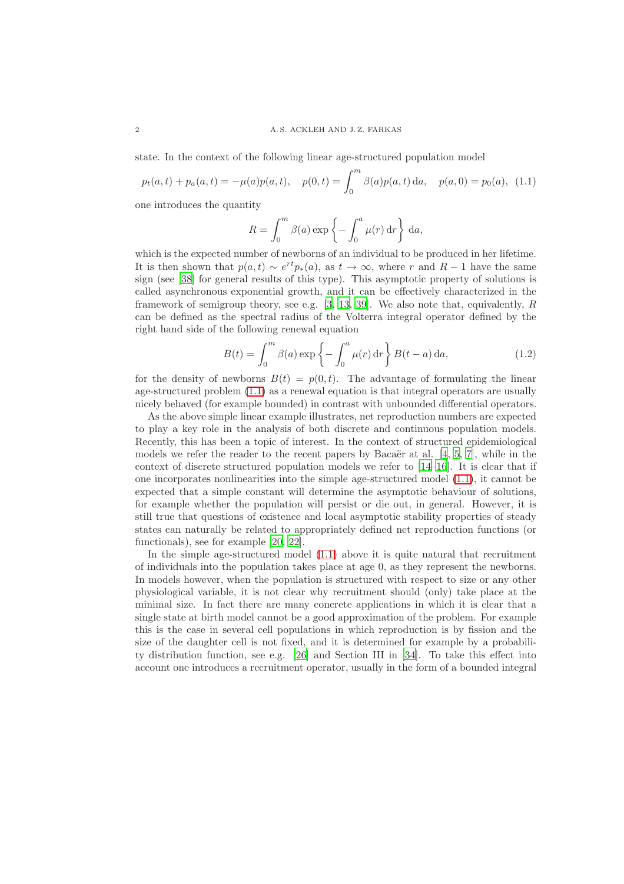state. In the context of the following linear age-structured population model

<span id="page-1-0"></span>
$$
p_t(a,t) + p_a(a,t) = -\mu(a)p(a,t), \quad p(0,t) = \int_0^m \beta(a)p(a,t) \, da, \quad p(a,0) = p_0(a), \tag{1.1}
$$

one introduces the quantity

$$
R = \int_0^m \beta(a) \exp\left\{-\int_0^a \mu(r) dr\right\} da,
$$

which is the expected number of newborns of an individual to be produced in her lifetime. It is then shown that  $p(a, t) \sim e^{rt} p_*(a)$ , as  $t \to \infty$ , where r and  $R-1$  have the same sign (see [\[38\]](#page-16-1) for general results of this type). This asymptotic property of solutions is called asynchronous exponential growth, and it can be effectively characterized in the framework of semigroup theory, see e.g.  $[3, 13, 39]$  $[3, 13, 39]$  $[3, 13, 39]$  $[3, 13, 39]$ . We also note that, equivalently, R can be defined as the spectral radius of the Volterra integral operator defined by the right hand side of the following renewal equation

$$
B(t) = \int_0^m \beta(a) \exp\left\{-\int_0^a \mu(r) dr\right\} B(t-a) da,
$$
\n(1.2)

for the density of newborns  $B(t) = p(0, t)$ . The advantage of formulating the linear age-structured problem [\(1.1\)](#page-1-0) as a renewal equation is that integral operators are usually nicely behaved (for example bounded) in contrast with unbounded differential operators.

As the above simple linear example illustrates, net reproduction numbers are expected to play a key role in the analysis of both discrete and continuous population models. Recently, this has been a topic of interest. In the context of structured epidemiological models we refer the reader to the recent papers by Bacaër at al.  $[4, 5, 7]$  $[4, 5, 7]$  $[4, 5, 7]$  $[4, 5, 7]$ , while in the context of discrete structured population models we refer to [\[14](#page-15-1)[–16](#page-15-4)]. It is clear that if one incorporates nonlinearities into the simple age-structured model [\(1.1\)](#page-1-0), it cannot be expected that a simple constant will determine the asymptotic behaviour of solutions, for example whether the population will persist or die out, in general. However, it is still true that questions of existence and local asymptotic stability properties of steady states can naturally be related to appropriately defined net reproduction functions (or functionals), see for example [\[20](#page-15-5), [22](#page-15-6)].

In the simple age-structured model [\(1.1\)](#page-1-0) above it is quite natural that recruitment of individuals into the population takes place at age 0, as they represent the newborns. In models however, when the population is structured with respect to size or any other physiological variable, it is not clear why recruitment should (only) take place at the minimal size. In fact there are many concrete applications in which it is clear that a single state at birth model cannot be a good approximation of the problem. For example this is the case in several cell populations in which reproduction is by fission and the size of the daughter cell is not fixed, and it is determined for example by a probability distribution function, see e.g. [\[26](#page-16-3)] and Section III in [\[34](#page-16-4)]. To take this effect into account one introduces a recruitment operator, usually in the form of a bounded integral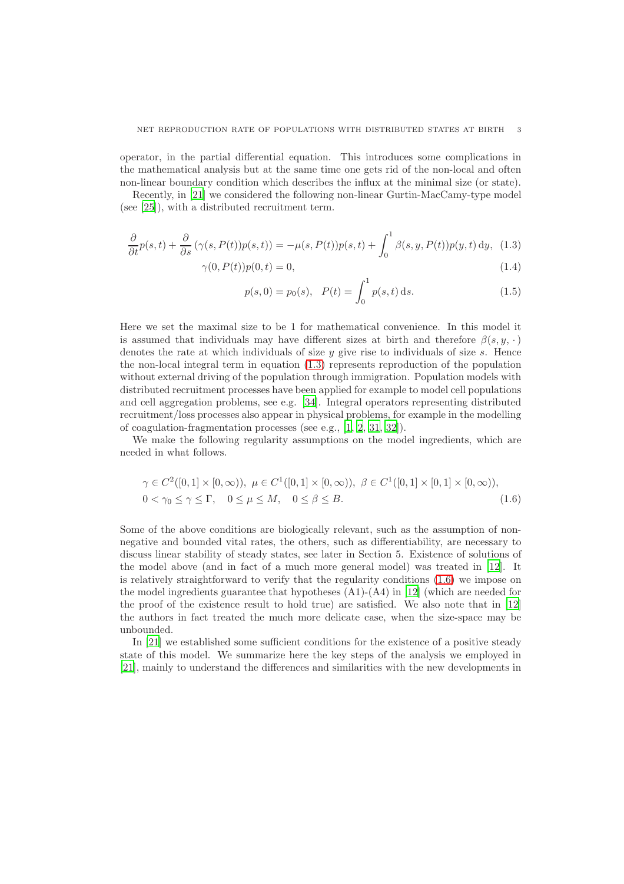operator, in the partial differential equation. This introduces some complications in the mathematical analysis but at the same time one gets rid of the non-local and often non-linear boundary condition which describes the influx at the minimal size (or state).

Recently, in [\[21\]](#page-15-7) we considered the following non-linear Gurtin-MacCamy-type model (see [\[25](#page-16-5)]), with a distributed recruitment term.

$$
\frac{\partial}{\partial t}p(s,t) + \frac{\partial}{\partial s}(\gamma(s,P(t))p(s,t)) = -\mu(s,P(t))p(s,t) + \int_0^1 \beta(s,y,P(t))p(y,t) \,dy,\tag{1.3}
$$

$$
\gamma(0, P(t))p(0, t) = 0,\t\t(1.4)
$$

<span id="page-2-2"></span><span id="page-2-1"></span><span id="page-2-0"></span>
$$
p(s,0) = p_0(s), \quad P(t) = \int_0^1 p(s,t) \, ds. \tag{1.5}
$$

Here we set the maximal size to be 1 for mathematical convenience. In this model it is assumed that individuals may have different sizes at birth and therefore  $\beta(s, y, \cdot)$ denotes the rate at which individuals of size  $y$  give rise to individuals of size s. Hence the non-local integral term in equation [\(1.3\)](#page-2-0) represents reproduction of the population without external driving of the population through immigration. Population models with distributed recruitment processes have been applied for example to model cell populations and cell aggregation problems, see e.g. [\[34\]](#page-16-4). Integral operators representing distributed recruitment/loss processes also appear in physical problems, for example in the modelling of coagulation-fragmentation processes (see e.g., [\[1](#page-14-3), [2](#page-14-4), [31](#page-16-6), [32](#page-16-7)]).

We make the following regularity assumptions on the model ingredients, which are needed in what follows.

$$
\gamma \in C^{2}([0,1] \times [0,\infty)), \ \mu \in C^{1}([0,1] \times [0,\infty)), \ \beta \in C^{1}([0,1] \times [0,1] \times [0,\infty)),
$$
  

$$
0 < \gamma_0 \le \gamma \le \Gamma, \quad 0 \le \mu \le M, \quad 0 \le \beta \le B.
$$
 (1.6)

Some of the above conditions are biologically relevant, such as the assumption of nonnegative and bounded vital rates, the others, such as differentiability, are necessary to discuss linear stability of steady states, see later in Section 5. Existence of solutions of the model above (and in fact of a much more general model) was treated in [\[12\]](#page-15-8). It is relatively straightforward to verify that the regularity conditions [\(1.6\)](#page-2-1) we impose on the model ingredients guarantee that hypotheses  $(A1)-(A4)$  in [\[12\]](#page-15-8) (which are needed for the proof of the existence result to hold true) are satisfied. We also note that in [\[12](#page-15-8)] the authors in fact treated the much more delicate case, when the size-space may be unbounded.

In [\[21\]](#page-15-7) we established some sufficient conditions for the existence of a positive steady state of this model. We summarize here the key steps of the analysis we employed in [\[21](#page-15-7)], mainly to understand the differences and similarities with the new developments in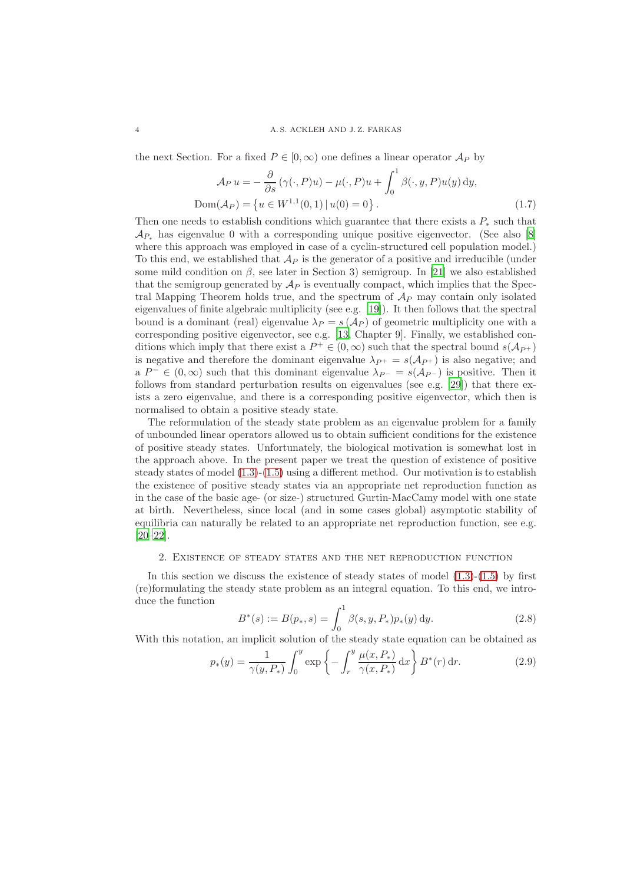the next Section. For a fixed  $P \in [0, \infty)$  one defines a linear operator  $\mathcal{A}_P$  by

<span id="page-3-1"></span>
$$
\mathcal{A}_P u = -\frac{\partial}{\partial s} (\gamma(\cdot, P)u) - \mu(\cdot, P)u + \int_0^1 \beta(\cdot, y, P)u(y) dy,
$$
  
Dom
$$
(\mathcal{A}_P) = \{ u \in W^{1,1}(0,1) | u(0) = 0 \}.
$$
 (1.7)

Then one needs to establish conditions which guarantee that there exists a  $P_*$  such that  $\mathcal{A}_{P_{*}}$  has eigenvalue 0 with a corresponding unique positive eigenvector. (See also [\[8\]](#page-15-9) where this approach was employed in case of a cyclin-structured cell population model.) To this end, we established that  $\mathcal{A}_P$  is the generator of a positive and irreducible (under some mild condition on  $\beta$ , see later in Section 3) semigroup. In [\[21\]](#page-15-7) we also established that the semigroup generated by  $\mathcal{A}_P$  is eventually compact, which implies that the Spectral Mapping Theorem holds true, and the spectrum of  $\mathcal{A}_P$  may contain only isolated eigenvalues of finite algebraic multiplicity (see e.g. [\[19\]](#page-15-10)). It then follows that the spectral bound is a dominant (real) eigenvalue  $\lambda_P = s(\mathcal{A}_P)$  of geometric multiplicity one with a corresponding positive eigenvector, see e.g. [\[13](#page-15-2), Chapter 9]. Finally, we established conditions which imply that there exist a  $P^+ \in (0, \infty)$  such that the spectral bound  $s(\mathcal{A}_{P^+})$ is negative and therefore the dominant eigenvalue  $\lambda_{P^+} = s(\mathcal{A}_{P^+})$  is also negative; and a  $P^- \in (0, \infty)$  such that this dominant eigenvalue  $\lambda_{P^-} = s(\mathcal{A}_{P^-})$  is positive. Then it follows from standard perturbation results on eigenvalues (see e.g. [\[29\]](#page-16-8)) that there exists a zero eigenvalue, and there is a corresponding positive eigenvector, which then is normalised to obtain a positive steady state.

The reformulation of the steady state problem as an eigenvalue problem for a family of unbounded linear operators allowed us to obtain sufficient conditions for the existence of positive steady states. Unfortunately, the biological motivation is somewhat lost in the approach above. In the present paper we treat the question of existence of positive steady states of model  $(1.3)-(1.5)$  $(1.3)-(1.5)$  using a different method. Our motivation is to establish the existence of positive steady states via an appropriate net reproduction function as in the case of the basic age- (or size-) structured Gurtin-MacCamy model with one state at birth. Nevertheless, since local (and in some cases global) asymptotic stability of equilibria can naturally be related to an appropriate net reproduction function, see e.g. [\[20](#page-15-5)[–22\]](#page-15-6).

## 2. Existence of steady states and the net reproduction function

In this section we discuss the existence of steady states of model  $(1.3)-(1.5)$  $(1.3)-(1.5)$  $(1.3)-(1.5)$  by first (re)formulating the steady state problem as an integral equation. To this end, we introduce the function

$$
B^*(s) := B(p_*, s) = \int_0^1 \beta(s, y, P_*) p_*(y) \, dy. \tag{2.8}
$$

With this notation, an implicit solution of the steady state equation can be obtained as

<span id="page-3-0"></span>
$$
p_*(y) = \frac{1}{\gamma(y, P_*)} \int_0^y \exp\left\{-\int_r^y \frac{\mu(x, P_*)}{\gamma(x, P_*)} dx\right\} B^*(r) dr.
$$
 (2.9)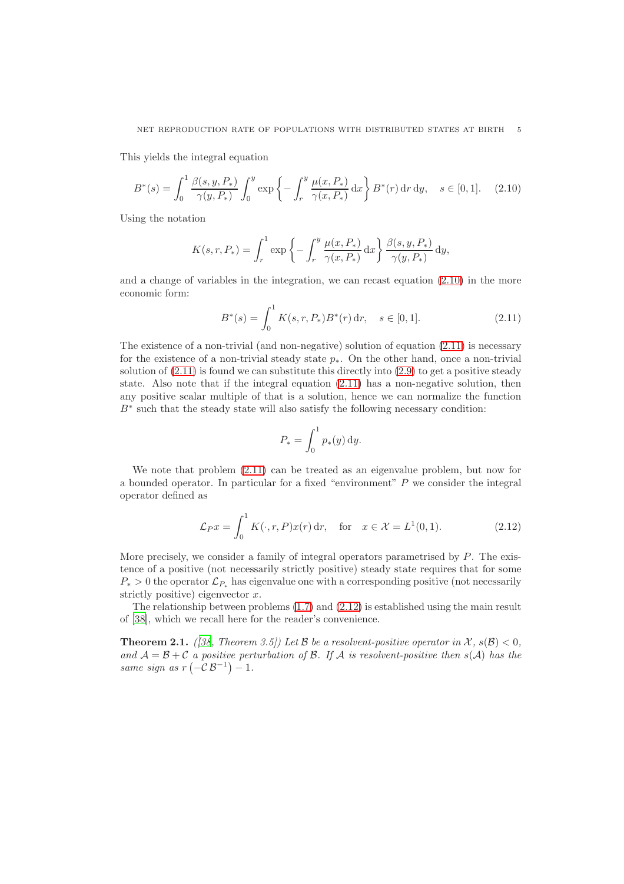This yields the integral equation

<span id="page-4-0"></span>
$$
B^*(s) = \int_0^1 \frac{\beta(s, y, P_*)}{\gamma(y, P_*)} \int_0^y \exp\left\{-\int_r^y \frac{\mu(x, P_*)}{\gamma(x, P_*)} dx\right\} B^*(r) dr dy, \quad s \in [0, 1]. \tag{2.10}
$$

Using the notation

$$
K(s,r,P_*) = \int_r^1 \exp\left\{-\int_r^y \frac{\mu(x,P_*)}{\gamma(x,P_*)}\,\mathrm{d}x\right\} \frac{\beta(s,y,P_*)}{\gamma(y,P_*)}\,\mathrm{d}y,
$$

and a change of variables in the integration, we can recast equation [\(2.10\)](#page-4-0) in the more economic form:

<span id="page-4-1"></span>
$$
B^*(s) = \int_0^1 K(s, r, P_*) B^*(r) dr, \quad s \in [0, 1].
$$
 (2.11)

The existence of a non-trivial (and non-negative) solution of equation [\(2.11\)](#page-4-1) is necessary for the existence of a non-trivial steady state  $p_{*}$ . On the other hand, once a non-trivial solution of  $(2.11)$  is found we can substitute this directly into  $(2.9)$  to get a positive steady state. Also note that if the integral equation [\(2.11\)](#page-4-1) has a non-negative solution, then any positive scalar multiple of that is a solution, hence we can normalize the function B<sup>∗</sup> such that the steady state will also satisfy the following necessary condition:

$$
P_* = \int_0^1 p_*(y) \, dy.
$$

We note that problem  $(2.11)$  can be treated as an eigenvalue problem, but now for a bounded operator. In particular for a fixed "environment"  $P$  we consider the integral operator defined as

<span id="page-4-2"></span>
$$
\mathcal{L}_P x = \int_0^1 K(\cdot, r, P) x(r) dr, \quad \text{for} \quad x \in \mathcal{X} = L^1(0, 1). \tag{2.12}
$$

More precisely, we consider a family of integral operators parametrised by P. The existence of a positive (not necessarily strictly positive) steady state requires that for some  $P_* > 0$  the operator  $\mathcal{L}_{P_*}$  has eigenvalue one with a corresponding positive (not necessarily strictly positive) eigenvector  $x$ .

The relationship between problems  $(1.7)$  and  $(2.12)$  is established using the main result of [\[38\]](#page-16-1), which we recall here for the reader's convenience.

**Theorem 2.1.** *([\[38](#page-16-1), Theorem 3.5])* Let B *be a resolvent-positive operator in*  $\mathcal{X}, s(\mathcal{B}) < 0$ *,* and  $A = B + C$  *a* positive perturbation of B. If A is resolvent-positive then  $s(A)$  has the *same sign as*  $r(-\mathcal{C}\mathcal{B}^{-1})-1$ .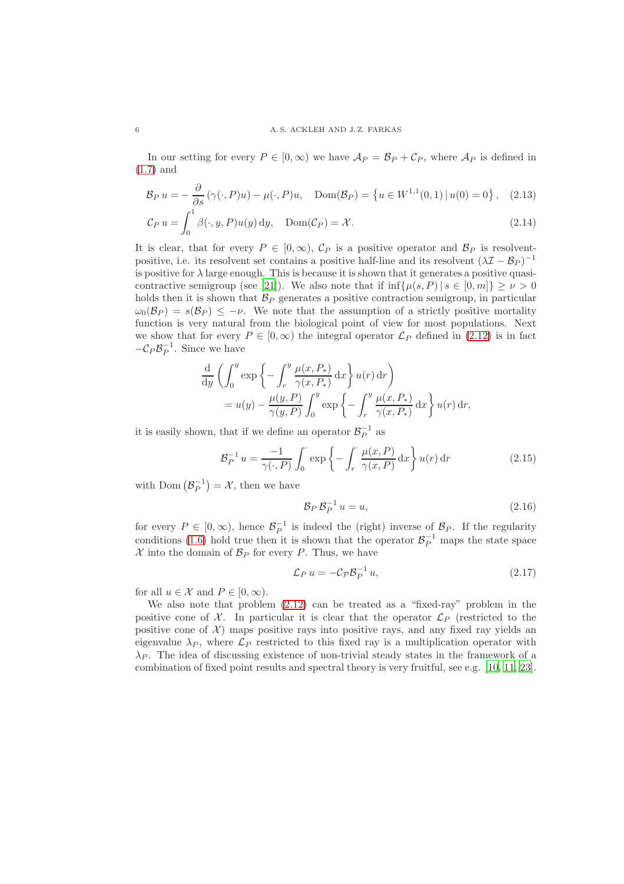In our setting for every  $P \in [0,\infty)$  we have  $\mathcal{A}_P = \mathcal{B}_P + \mathcal{C}_P$ , where  $\mathcal{A}_P$  is defined in [\(1.7\)](#page-3-1) and

$$
\mathcal{B}_P u = -\frac{\partial}{\partial s} \left( \gamma(\cdot, P) u \right) - \mu(\cdot, P) u, \quad \text{Dom}(\mathcal{B}_P) = \left\{ u \in W^{1,1}(0, 1) \, | \, u(0) = 0 \right\}, \tag{2.13}
$$

$$
\mathcal{C}_P u = \int_0^1 \beta(\cdot, y, P) u(y) \, dy, \quad \text{Dom}(\mathcal{C}_P) = \mathcal{X}.
$$
\n(2.14)

It is clear, that for every  $P \in [0,\infty)$ ,  $\mathcal{C}_P$  is a positive operator and  $\mathcal{B}_P$  is resolventpositive, i.e. its resolvent set contains a positive half-line and its resolvent  $(\lambda \mathcal{I} - \mathcal{B}_P)^{-1}$ is positive for  $\lambda$  large enough. This is because it is shown that it generates a positive quasi-contractive semigroup (see [\[21\]](#page-15-7)). We also note that if  $\inf \{ \mu(s, P) | s \in [0, m] \} \geq \nu > 0$ holds then it is shown that  $\mathcal{B}_P$  generates a positive contraction semigroup, in particular  $\omega_0(\mathcal{B}_P) = s(\mathcal{B}_P) \leq -\nu$ . We note that the assumption of a strictly positive mortality function is very natural from the biological point of view for most populations. Next we show that for every  $P \in [0,\infty)$  the integral operator  $\mathcal{L}_P$  defined in [\(2.12\)](#page-4-2) is in fact  $-C_P \mathcal{B}_P^{-1}$ . Since we have

$$
\frac{d}{dy} \left( \int_0^y \exp \left\{ -\int_r^y \frac{\mu(x, P_*)}{\gamma(x, P_*)} dx \right\} u(r) dr \right)
$$
  
=  $u(y) - \frac{\mu(y, P)}{\gamma(y, P)} \int_0^y \exp \left\{ -\int_r^y \frac{\mu(x, P_*)}{\gamma(x, P_*)} dx \right\} u(r) dr,$ 

it is easily shown, that if we define an operator  $\mathcal{B}_P^{-1}$  as

$$
\mathcal{B}_P^{-1}u = \frac{-1}{\gamma(\cdot,P)} \int_0^\cdot \exp\left\{-\int_r^\cdot \frac{\mu(x,P)}{\gamma(x,P)} dx\right\} u(r) dr \tag{2.15}
$$

with Dom  $(\mathcal{B}_P^{-1}) = \mathcal{X}$ , then we have

$$
\mathcal{B}_P \,\mathcal{B}_P^{-1} \, u = u,\tag{2.16}
$$

for every  $P \in [0, \infty)$ , hence  $\mathcal{B}_P^{-1}$  is indeed the (right) inverse of  $\mathcal{B}_P$ . If the regularity conditions [\(1.6\)](#page-2-1) hold true then it is shown that the operator  $\mathcal{B}_P^{-1}$  maps the state space  $\mathcal X$  into the domain of  $\mathcal B_P$  for every P. Thus, we have

$$
\mathcal{L}_P u = -\mathcal{C}_{\mathcal{P}} \mathcal{B}_P^{-1} u,\tag{2.17}
$$

for all  $u \in \mathcal{X}$  and  $P \in [0, \infty)$ .

We also note that problem [\(2.12\)](#page-4-2) can be treated as a "fixed-ray" problem in the positive cone of X. In particular it is clear that the operator  $\mathcal{L}_P$  (restricted to the positive cone of  $\mathcal{X}$ ) maps positive rays into positive rays, and any fixed ray yields an eigenvalue  $\lambda_P$ , where  $\mathcal{L}_P$  restricted to this fixed ray is a multiplication operator with  $\lambda_P$ . The idea of discussing existence of non-trivial steady states in the framework of a combination of fixed point results and spectral theory is very fruitful, see e.g. [\[10](#page-15-11), [11,](#page-15-12) [23\]](#page-15-13).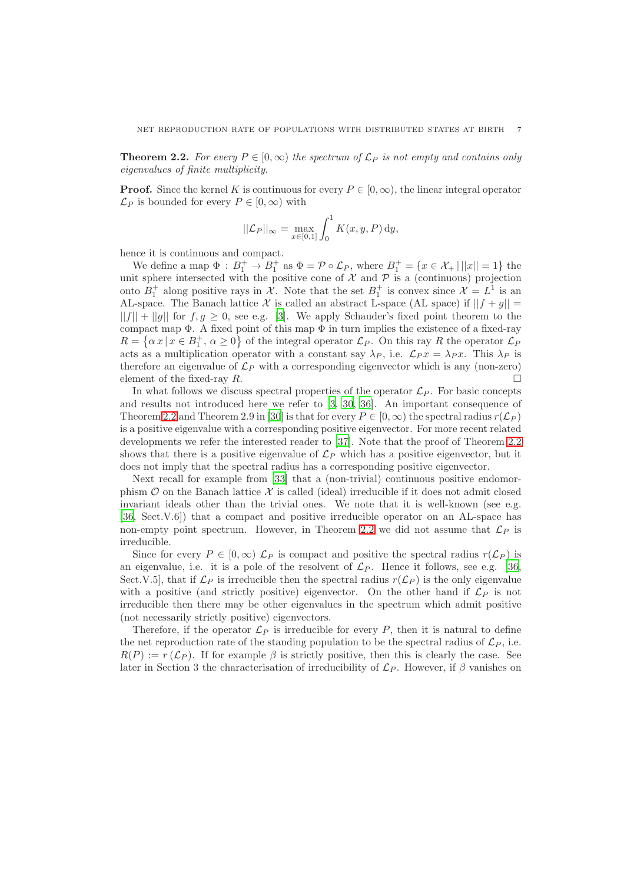<span id="page-6-0"></span>**Theorem 2.2.** For every  $P \in [0, \infty)$  the spectrum of  $\mathcal{L}_P$  is not empty and contains only *eigenvalues of finite multiplicity.*

**Proof.** Since the kernel K is continuous for every  $P \in [0, \infty)$ , the linear integral operator  $\mathcal{L}_P$  is bounded for every  $P \in [0,\infty)$  with

$$
||\mathcal{L}_P||_{\infty} = \max_{x \in [0,1]} \int_0^1 K(x, y, P) dy,
$$

hence it is continuous and compact.

We define a map  $\Phi : B_1^+ \to B_1^+$  as  $\Phi = \mathcal{P} \circ \mathcal{L}_P$ , where  $B_1^+ = \{x \in \mathcal{X}_+ | ||x|| = 1\}$  the unit sphere intersected with the positive cone of  $\mathcal X$  and  $\mathcal P$  is a (continuous) projection onto  $B_1^+$  along positive rays in  $\mathcal{X}$ . Note that the set  $B_1^+$  is convex since  $\mathcal{X} = L^1$  is an AL-space. The Banach lattice X is called an abstract L-space (AL space) if  $||f + g|| =$  $||f|| + ||g||$  for  $f, g \ge 0$ , see e.g. [\[3](#page-14-0)]. We apply Schauder's fixed point theorem to the compact map  $\Phi$ . A fixed point of this map  $\Phi$  in turn implies the existence of a fixed-ray  $R = \{ \alpha x \mid x \in B_1^+, \alpha \ge 0 \}$  of the integral operator  $\mathcal{L}_P$ . On this ray R the operator  $\mathcal{L}_P$ acts as a multiplication operator with a constant say  $\lambda_P$ , i.e.  $\mathcal{L}_P x = \lambda_P x$ . This  $\lambda_P$  is therefore an eigenvalue of  $\mathcal{L}_P$  with a corresponding eigenvector which is any (non-zero) element of the fixed-ray  $R$ .

In what follows we discuss spectral properties of the operator  $\mathcal{L}_P$ . For basic concepts and results not introduced here we refer to [\[3,](#page-14-0) [30,](#page-16-9) [36\]](#page-16-10). An important consequence of Theorem [2.2](#page-6-0) and Theorem 2.9 in [\[30\]](#page-16-9) is that for every  $P \in [0,\infty)$  the spectral radius  $r(\mathcal{L}_P)$ is a positive eigenvalue with a corresponding positive eigenvector. For more recent related developments we refer the interested reader to [\[37](#page-16-11)]. Note that the proof of Theorem [2.2](#page-6-0) shows that there is a positive eigenvalue of  $\mathcal{L}_P$  which has a positive eigenvector, but it does not imply that the spectral radius has a corresponding positive eigenvector.

Next recall for example from [\[33\]](#page-16-12) that a (non-trivial) continuous positive endomorphism  $\mathcal O$  on the Banach lattice  $\mathcal X$  is called (ideal) irreducible if it does not admit closed invariant ideals other than the trivial ones. We note that it is well-known (see e.g. [\[36](#page-16-10), Sect.V.6]) that a compact and positive irreducible operator on an AL-space has non-empty point spectrum. However, in Theorem [2.2](#page-6-0) we did not assume that  $\mathcal{L}_P$  is irreducible.

Since for every  $P \in [0,\infty)$   $\mathcal{L}_P$  is compact and positive the spectral radius  $r(\mathcal{L}_P)$  is an eigenvalue, i.e. it is a pole of the resolvent of  $\mathcal{L}_P$ . Hence it follows, see e.g. [\[36](#page-16-10), Sect.V.5, that if  $\mathcal{L}_P$  is irreducible then the spectral radius  $r(\mathcal{L}_P)$  is the only eigenvalue with a positive (and strictly positive) eigenvector. On the other hand if  $\mathcal{L}_P$  is not irreducible then there may be other eigenvalues in the spectrum which admit positive (not necessarily strictly positive) eigenvectors.

Therefore, if the operator  $\mathcal{L}_P$  is irreducible for every P, then it is natural to define the net reproduction rate of the standing population to be the spectral radius of  $\mathcal{L}_P$ , i.e.  $R(P) := r(\mathcal{L}_P)$ . If for example  $\beta$  is strictly positive, then this is clearly the case. See later in Section 3 the characterisation of irreducibility of  $\mathcal{L}_P$ . However, if  $\beta$  vanishes on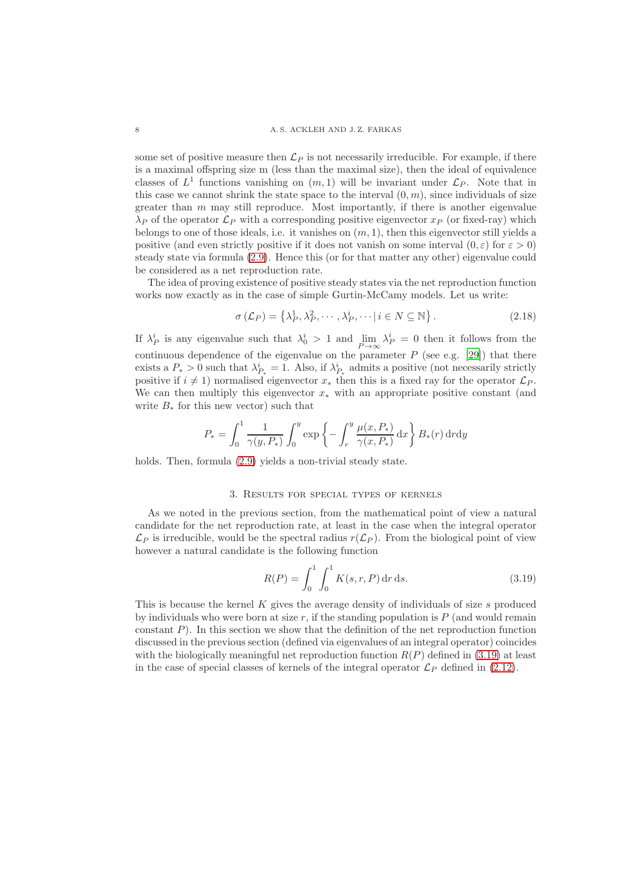some set of positive measure then  $\mathcal{L}_P$  is not necessarily irreducible. For example, if there is a maximal offspring size m (less than the maximal size), then the ideal of equivalence classes of  $L^1$  functions vanishing on  $(m, 1)$  will be invariant under  $\mathcal{L}_P$ . Note that in this case we cannot shrink the state space to the interval  $(0, m)$ , since individuals of size greater than  $m$  may still reproduce. Most importantly, if there is another eigenvalue  $\lambda_P$  of the operator  $\mathcal{L}_P$  with a corresponding positive eigenvector  $x_P$  (or fixed-ray) which belongs to one of those ideals, i.e. it vanishes on  $(m, 1)$ , then this eigenvector still yields a positive (and even strictly positive if it does not vanish on some interval  $(0, \varepsilon)$  for  $\varepsilon > 0$ ) steady state via formula [\(2.9\)](#page-3-0). Hence this (or for that matter any other) eigenvalue could be considered as a net reproduction rate.

The idea of proving existence of positive steady states via the net reproduction function works now exactly as in the case of simple Gurtin-McCamy models. Let us write:

$$
\sigma\left(\mathcal{L}_P\right) = \left\{\lambda_P^1, \lambda_P^2, \cdots, \lambda_P^i, \cdots \mid i \in N \subseteq \mathbb{N}\right\}.
$$
\n(2.18)

If  $\lambda_P^i$  is any eigenvalue such that  $\lambda_0^i > 1$  and  $\lim_{P \to \infty} \lambda_P^i = 0$  then it follows from the continuous dependence of the eigenvalue on the parameter  $P$  (see e.g. [\[29\]](#page-16-8)) that there exists a  $P_* > 0$  such that  $\lambda_{P_*}^i = 1$ . Also, if  $\lambda_{P_*}^i$  admits a positive (not necessarily strictly positive if  $i \neq 1$ ) normalised eigenvector  $x_*$  then this is a fixed ray for the operator  $\mathcal{L}_P$ . We can then multiply this eigenvector  $x_*$  with an appropriate positive constant (and write  $B_*$  for this new vector) such that

$$
P_* = \int_0^1 \frac{1}{\gamma(y, P_*)} \int_0^y \exp\left\{-\int_r^y \frac{\mu(x, P_*)}{\gamma(x, P_*)} dx\right\} B_*(r) dr dy
$$

holds. Then, formula  $(2.9)$  yields a non-trivial steady state.

#### 3. Results for special types of kernels

As we noted in the previous section, from the mathematical point of view a natural candidate for the net reproduction rate, at least in the case when the integral operator  $\mathcal{L}_P$  is irreducible, would be the spectral radius  $r(\mathcal{L}_P)$ . From the biological point of view however a natural candidate is the following function

<span id="page-7-0"></span>
$$
R(P) = \int_0^1 \int_0^1 K(s, r, P) dr ds.
$$
 (3.19)

This is because the kernel K gives the average density of individuals of size s produced by individuals who were born at size  $r$ , if the standing population is  $P$  (and would remain constant  $P$ ). In this section we show that the definition of the net reproduction function discussed in the previous section (defined via eigenvalues of an integral operator) coincides with the biologically meaningful net reproduction function  $R(P)$  defined in [\(3.19\)](#page-7-0) at least in the case of special classes of kernels of the integral operator  $\mathcal{L}_P$  defined in [\(2.12\)](#page-4-2).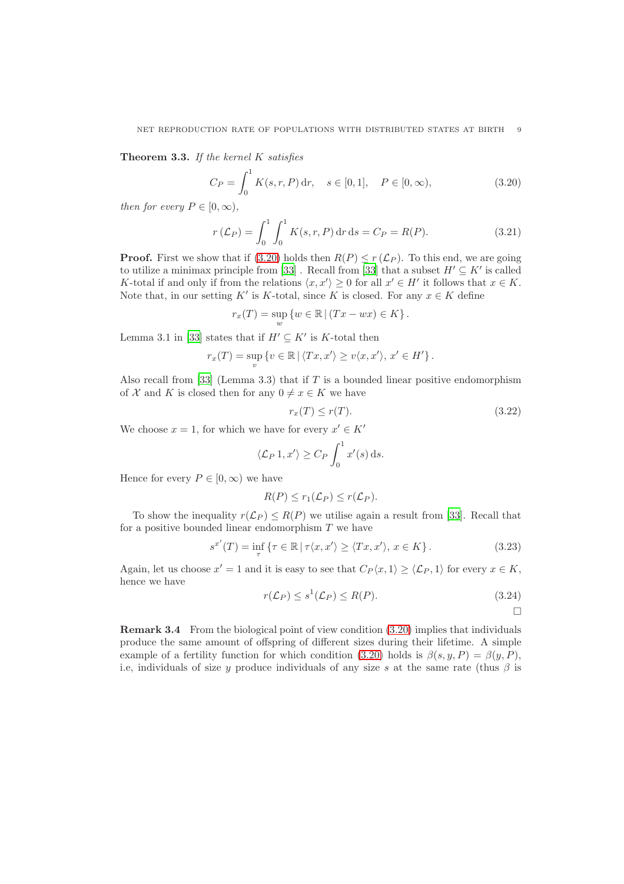<span id="page-8-1"></span>Theorem 3.3. *If the kernel* K *satisfies*

<span id="page-8-0"></span>
$$
C_P = \int_0^1 K(s, r, P) \, dr, \quad s \in [0, 1], \quad P \in [0, \infty), \tag{3.20}
$$

*then for every*  $P \in [0, \infty)$ ,

$$
r(\mathcal{L}_P) = \int_0^1 \int_0^1 K(s, r, P) dr ds = C_P = R(P). \tag{3.21}
$$

**Proof.** First we show that if [\(3.20\)](#page-8-0) holds then  $R(P) \le r(\mathcal{L}_P)$ . To this end, we are going to utilize a minimax principle from [\[33](#page-16-12)]. Recall from [33] that a subset  $H' \subseteq K'$  is called K-total if and only if from the relations  $\langle x, x' \rangle \ge 0$  for all  $x' \in H'$  it follows that  $x \in K$ . Note that, in our setting K' is K-total, since K is closed. For any  $x \in K$  define

$$
r_x(T) = \sup_{w} \{ w \in \mathbb{R} \mid (Tx - wx) \in K \}.
$$

Lemma 3.1 in [\[33\]](#page-16-12) states that if  $H' \subseteq K'$  is K-total then

$$
r_x(T) = \sup_{v} \left\{ v \in \mathbb{R} \, | \, \langle Tx, x' \rangle \ge v \langle x, x' \rangle, \, x' \in H' \right\}.
$$

Also recall from [\[33\]](#page-16-12) (Lemma 3.3) that if T is a bounded linear positive endomorphism of X and K is closed then for any  $0 \neq x \in K$  we have

$$
r_x(T) \le r(T). \tag{3.22}
$$

We choose  $x = 1$ , for which we have for every  $x' \in K'$ 

$$
\langle \mathcal{L}_P 1, x' \rangle \ge C_P \int_0^1 x'(s) \, ds.
$$

Hence for every  $P \in [0, \infty)$  we have

$$
R(P) \le r_1(\mathcal{L}_P) \le r(\mathcal{L}_P).
$$

To show the inequality  $r(\mathcal{L}_P) \leq R(P)$  we utilise again a result from [\[33\]](#page-16-12). Recall that for a positive bounded linear endomorphism  $T$  we have

$$
s^{x'}(T) = \inf_{\tau} \{ \tau \in \mathbb{R} \mid \tau \langle x, x' \rangle \ge \langle Tx, x' \rangle, x \in K \}.
$$
 (3.23)

Again, let us choose  $x' = 1$  and it is easy to see that  $C_P \langle x, 1 \rangle \ge \langle \mathcal{L}_P, 1 \rangle$  for every  $x \in K$ , hence we have

$$
r(\mathcal{L}_P) \le s^1(\mathcal{L}_P) \le R(P). \tag{3.24}
$$

 $\Box$ 

Remark 3.4 From the biological point of view condition [\(3.20\)](#page-8-0) implies that individuals produce the same amount of offspring of different sizes during their lifetime. A simple example of a fertility function for which condition [\(3.20\)](#page-8-0) holds is  $\beta(s, y, P) = \beta(y, P)$ , i.e, individuals of size y produce individuals of any size s at the same rate (thus  $\beta$  is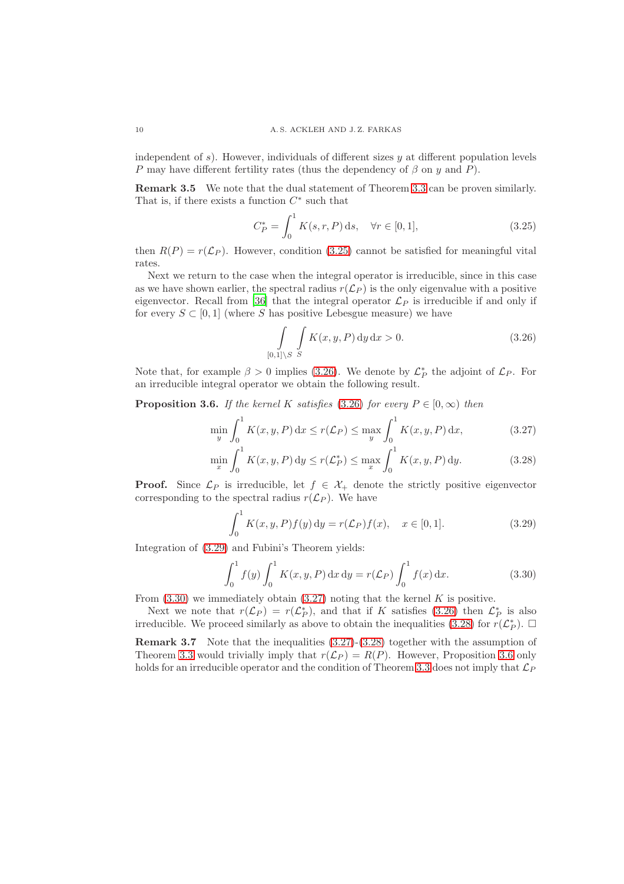independent of  $s$ ). However, individuals of different sizes  $y$  at different population levels P may have different fertility rates (thus the dependency of  $\beta$  on y and P).

Remark 3.5 We note that the dual statement of Theorem [3.3](#page-8-1) can be proven similarly. That is, if there exists a function  $C^*$  such that

<span id="page-9-0"></span>
$$
C_P^* = \int_0^1 K(s, r, P) \, ds, \quad \forall r \in [0, 1], \tag{3.25}
$$

then  $R(P) = r(\mathcal{L}_P)$ . However, condition [\(3.25\)](#page-9-0) cannot be satisfied for meaningful vital rates.

Next we return to the case when the integral operator is irreducible, since in this case as we have shown earlier, the spectral radius  $r(\mathcal{L}_P)$  is the only eigenvalue with a positive eigenvector. Recall from [\[36\]](#page-16-10) that the integral operator  $\mathcal{L}_P$  is irreducible if and only if for every  $S \subset [0,1]$  (where S has positive Lebesgue measure) we have

<span id="page-9-5"></span><span id="page-9-4"></span><span id="page-9-1"></span>
$$
\int\limits_{[0,1]\setminus S} \int\limits_{S} K(x,y,P) \, \mathrm{d}y \, \mathrm{d}x > 0. \tag{3.26}
$$

Note that, for example  $\beta > 0$  implies [\(3.26\)](#page-9-1). We denote by  $\mathcal{L}_P^*$  the adjoint of  $\mathcal{L}_P$ . For an irreducible integral operator we obtain the following result.

<span id="page-9-6"></span>**Proposition 3.6.** *If the kernel* K *satisfies* [\(3.26\)](#page-9-1) *for every*  $P \in [0, \infty)$  *then* 

$$
\min_{y} \int_{0}^{1} K(x, y, P) dx \le r(\mathcal{L}_{P}) \le \max_{y} \int_{0}^{1} K(x, y, P) dx,
$$
\n(3.27)

$$
\min_{x} \int_{0}^{1} K(x, y, P) dy \le r(\mathcal{L}_{P}^{*}) \le \max_{x} \int_{0}^{1} K(x, y, P) dy.
$$
 (3.28)

**Proof.** Since  $\mathcal{L}_P$  is irreducible, let  $f \in \mathcal{X}_+$  denote the strictly positive eigenvector corresponding to the spectral radius  $r(\mathcal{L}_P)$ . We have

<span id="page-9-2"></span>
$$
\int_0^1 K(x, y, P) f(y) dy = r(\mathcal{L}_P) f(x), \quad x \in [0, 1].
$$
 (3.29)

Integration of [\(3.29\)](#page-9-2) and Fubini's Theorem yields:

<span id="page-9-3"></span>
$$
\int_0^1 f(y) \int_0^1 K(x, y, P) dx dy = r(\mathcal{L}_P) \int_0^1 f(x) dx.
$$
 (3.30)

From  $(3.30)$  we immediately obtain  $(3.27)$  noting that the kernel K is positive.

Next we note that  $r(\mathcal{L}_P) = r(\mathcal{L}_P^*)$ , and that if K satisfies [\(3.26\)](#page-9-1) then  $\mathcal{L}_P^*$  is also irreducible. We proceed similarly as above to obtain the inequalities [\(3.28\)](#page-9-5) for  $r(\mathcal{L}_P^*)$ .  $\Box$ 

Remark 3.7 Note that the inequalities [\(3.27\)](#page-9-4)-[\(3.28\)](#page-9-5) together with the assumption of Theorem [3.3](#page-8-1) would trivially imply that  $r(\mathcal{L}_P) = R(P)$ . However, Proposition [3.6](#page-9-6) only holds for an irreducible operator and the condition of Theorem [3.3](#page-8-1) does not imply that  $\mathcal{L}_P$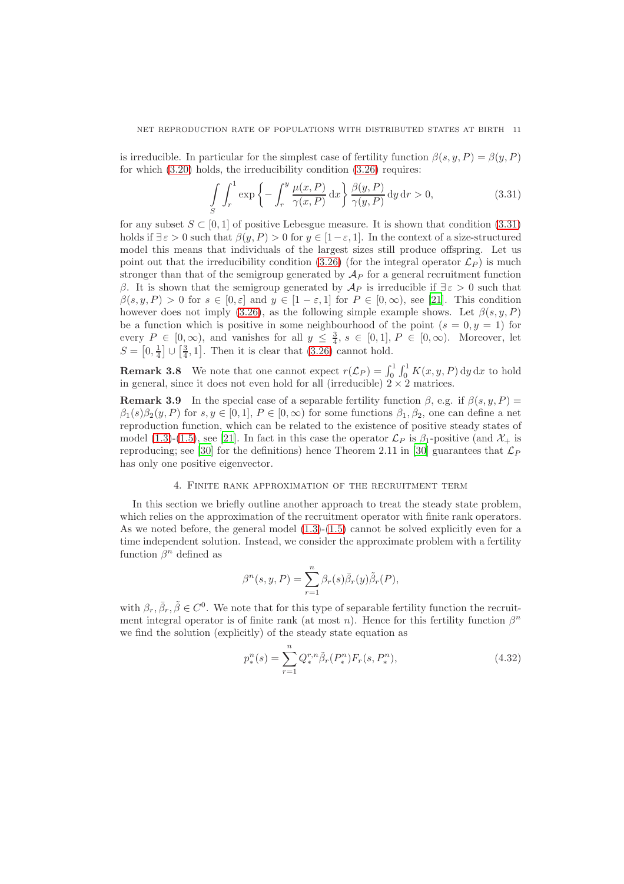is irreducible. In particular for the simplest case of fertility function  $\beta(s, y, P) = \beta(y, P)$ for which [\(3.20\)](#page-8-0) holds, the irreducibility condition [\(3.26\)](#page-9-1) requires:

<span id="page-10-0"></span>
$$
\int_{S} \int_{r}^{1} \exp\left\{-\int_{r}^{y} \frac{\mu(x, P)}{\gamma(x, P)} dx\right\} \frac{\beta(y, P)}{\gamma(y, P)} dy dr > 0,
$$
\n(3.31)

for any subset  $S \subset [0, 1]$  of positive Lebesgue measure. It is shown that condition [\(3.31\)](#page-10-0) holds if  $\exists \varepsilon > 0$  such that  $\beta(y, P) > 0$  for  $y \in [1 - \varepsilon, 1]$ . In the context of a size-structured model this means that individuals of the largest sizes still produce offspring. Let us point out that the irreducibility condition [\(3.26\)](#page-9-1) (for the integral operator  $\mathcal{L}_P$ ) is much stronger than that of the semigroup generated by  $\mathcal{A}_P$  for a general recruitment function β. It is shown that the semigroup generated by  $\mathcal{A}_P$  is irreducible if  $\exists \varepsilon > 0$  such that  $\beta(s, y, P) > 0$  for  $s \in [0, \varepsilon]$  and  $y \in [1 - \varepsilon, 1]$  for  $P \in [0, \infty)$ , see [\[21](#page-15-7)]. This condition however does not imply [\(3.26\)](#page-9-1), as the following simple example shows. Let  $\beta(s, y, P)$ be a function which is positive in some neighbourhood of the point  $(s = 0, y = 1)$  for every  $P \in [0,\infty)$ , and vanishes for all  $y \leq \frac{3}{4}$ ,  $s \in [0,1]$ ,  $P \in [0,\infty)$ . Moreover, let  $S = \left[0, \frac{1}{4}\right] \cup \left[\frac{3}{4}, 1\right]$ . Then it is clear that [\(3.26\)](#page-9-1) cannot hold.

**Remark 3.8** We note that one cannot expect  $r(\mathcal{L}_P) = \int_0^1 \int_0^1 K(x, y, P) dy dx$  to hold in general, since it does not even hold for all (irreducible)  $2 \times 2$  matrices.

**Remark 3.9** In the special case of a separable fertility function  $\beta$ , e.g. if  $\beta(s, y, P)$  =  $\beta_1(s)\beta_2(y, P)$  for  $s, y \in [0, 1], P \in [0, \infty)$  for some functions  $\beta_1, \beta_2$ , one can define a net reproduction function, which can be related to the existence of positive steady states of model [\(1.3\)](#page-2-0)-[\(1.5\)](#page-2-2), see [\[21\]](#page-15-7). In fact in this case the operator  $\mathcal{L}_P$  is  $\beta_1$ -positive (and  $\mathcal{X}_+$  is reproducing; see [\[30](#page-16-9)] for the definitions) hence Theorem 2.11 in [\[30\]](#page-16-9) guarantees that  $\mathcal{L}_P$ has only one positive eigenvector.

#### 4. Finite rank approximation of the recruitment term

In this section we briefly outline another approach to treat the steady state problem, which relies on the approximation of the recruitment operator with finite rank operators. As we noted before, the general model  $(1.3)-(1.5)$  $(1.3)-(1.5)$  cannot be solved explicitly even for a time independent solution. Instead, we consider the approximate problem with a fertility function  $\beta^n$  defined as

$$
\beta^{n}(s, y, P) = \sum_{r=1}^{n} \beta_{r}(s) \overline{\beta}_{r}(y) \tilde{\beta}_{r}(P),
$$

with  $\beta_r$ ,  $\bar{\beta}_r$ ,  $\tilde{\beta} \in C^0$ . We note that for this type of separable fertility function the recruitment integral operator is of finite rank (at most n). Hence for this fertility function  $\beta^n$ we find the solution (explicitly) of the steady state equation as

<span id="page-10-1"></span>
$$
p_*^n(s) = \sum_{r=1}^n Q_*^{r,n} \tilde{\beta}_r(P_*^n) F_r(s, P_*^n), \qquad (4.32)
$$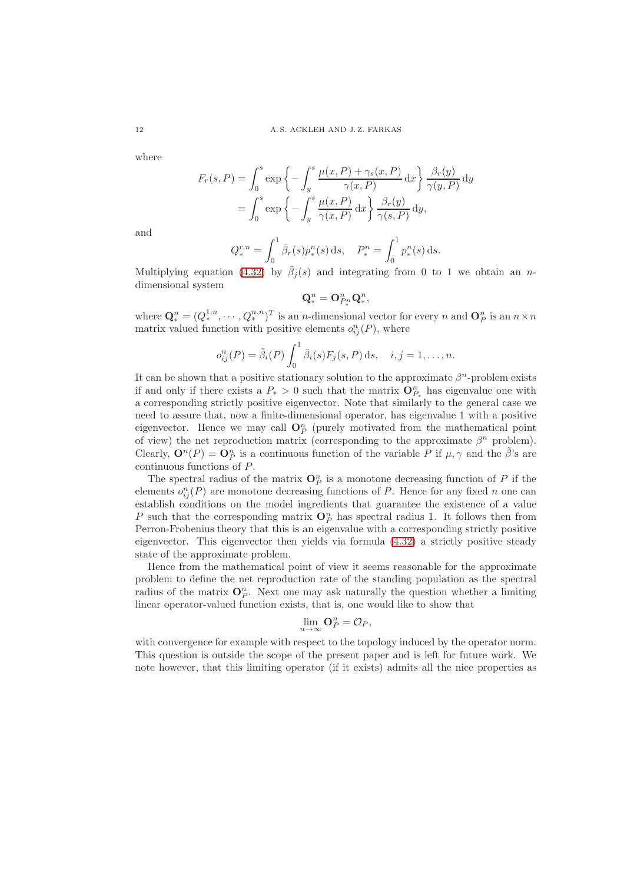where

$$
F_r(s, P) = \int_0^s \exp\left\{-\int_y^s \frac{\mu(x, P) + \gamma_s(x, P)}{\gamma(x, P)} dx\right\} \frac{\beta_r(y)}{\gamma(y, P)} dy
$$

$$
= \int_0^s \exp\left\{-\int_y^s \frac{\mu(x, P)}{\gamma(x, P)} dx\right\} \frac{\beta_r(y)}{\gamma(s, P)} dy,
$$

and

$$
Q_*^{r,n} = \int_0^1 \bar{\beta}_r(s) p_*^n(s) \, \mathrm{d} s, \quad P_*^n = \int_0^1 p_*^n(s) \, \mathrm{d} s.
$$

Multiplying equation [\(4.32\)](#page-10-1) by  $\bar{\beta}_j(s)$  and integrating from 0 to 1 we obtain an ndimensional system

$$
\mathbf{Q}_{\ast}^{n}=\mathbf{O}_{P_{\ast}^{n}}^{n}\mathbf{Q}_{\ast}^{n},
$$

where  $\mathbf{Q}_{*}^{n} = (Q_{*}^{1,n}, \cdots, Q_{*}^{n,n})^{T}$  is an *n*-dimensional vector for every *n* and  $\mathbf{O}_{P}^{n}$  is an  $n \times n$ matrix valued function with positive elements  $o_{ij}^n(P)$ , where

$$
o_{ij}^n(P) = \tilde{\beta}_i(P) \int_0^1 \bar{\beta}_i(s) F_j(s, P) \, ds, \quad i, j = 1, \dots, n.
$$

It can be shown that a positive stationary solution to the approximate  $\beta^n$ -problem exists if and only if there exists a  $P_* > 0$  such that the matrix  $\mathbf{O}_{P_*}^n$  has eigenvalue one with a corresponding strictly positive eigenvector. Note that similarly to the general case we need to assure that, now a finite-dimensional operator, has eigenvalue 1 with a positive eigenvector. Hence we may call  $\mathbb{O}_P^n$  (purely motivated from the mathematical point of view) the net reproduction matrix (corresponding to the approximate  $\beta^n$  problem). Clearly,  $\mathbf{O}^n(P) = \mathbf{O}_P^n$  is a continuous function of the variable P if  $\mu, \gamma$  and the  $\tilde{\beta}$ 's are continuous functions of P.

The spectral radius of the matrix  $\mathbf{O}_P^n$  is a monotone decreasing function of P if the elements  $o_{ij}^n(P)$  are monotone decreasing functions of P. Hence for any fixed n one can establish conditions on the model ingredients that guarantee the existence of a value P such that the corresponding matrix  $\mathbf{O}_P^n$  has spectral radius 1. It follows then from Perron-Frobenius theory that this is an eigenvalue with a corresponding strictly positive eigenvector. This eigenvector then yields via formula [\(4.32\)](#page-10-1) a strictly positive steady state of the approximate problem.

Hence from the mathematical point of view it seems reasonable for the approximate problem to define the net reproduction rate of the standing population as the spectral radius of the matrix  $O_P^n$ . Next one may ask naturally the question whether a limiting linear operator-valued function exists, that is, one would like to show that

$$
\lim_{n\to\infty} \mathbf{O}_P^n = \mathcal{O}_P,
$$

with convergence for example with respect to the topology induced by the operator norm. This question is outside the scope of the present paper and is left for future work. We note however, that this limiting operator (if it exists) admits all the nice properties as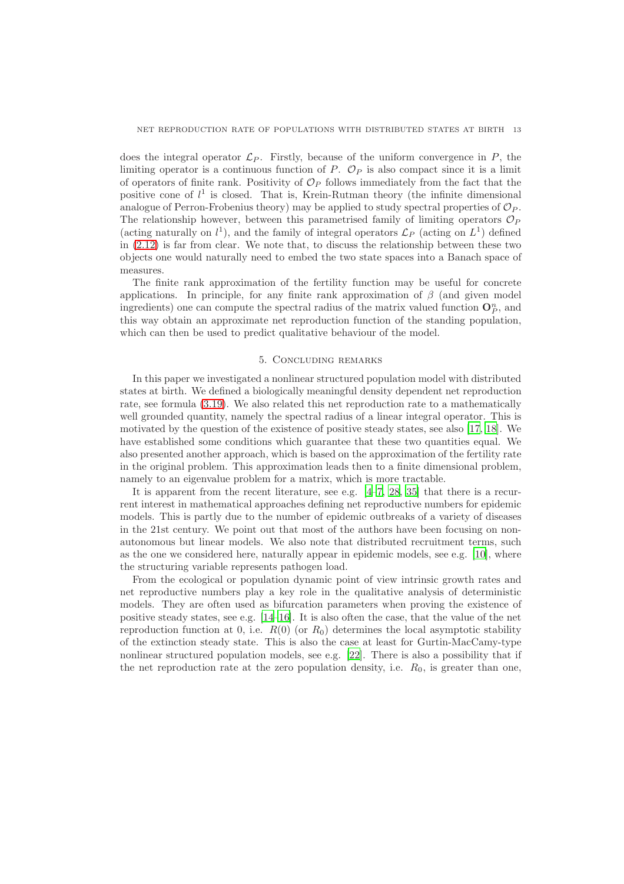does the integral operator  $\mathcal{L}_P$ . Firstly, because of the uniform convergence in P, the limiting operator is a continuous function of P.  $\mathcal{O}_P$  is also compact since it is a limit of operators of finite rank. Positivity of  $\mathcal{O}_P$  follows immediately from the fact that the positive cone of  $l^1$  is closed. That is, Krein-Rutman theory (the infinite dimensional analogue of Perron-Frobenius theory) may be applied to study spectral properties of  $\mathcal{O}_P$ . The relationship however, between this parametrised family of limiting operators  $\mathcal{O}_P$ (acting naturally on  $l^1$ ), and the family of integral operators  $\mathcal{L}_P$  (acting on  $L^1$ ) defined in [\(2.12\)](#page-4-2) is far from clear. We note that, to discuss the relationship between these two objects one would naturally need to embed the two state spaces into a Banach space of measures.

The finite rank approximation of the fertility function may be useful for concrete applications. In principle, for any finite rank approximation of  $\beta$  (and given model ingredients) one can compute the spectral radius of the matrix valued function  $\mathbf{O}_P^n$ , and this way obtain an approximate net reproduction function of the standing population, which can then be used to predict qualitative behaviour of the model.

#### 5. Concluding remarks

In this paper we investigated a nonlinear structured population model with distributed states at birth. We defined a biologically meaningful density dependent net reproduction rate, see formula [\(3.19\)](#page-7-0). We also related this net reproduction rate to a mathematically well grounded quantity, namely the spectral radius of a linear integral operator. This is motivated by the question of the existence of positive steady states, see also [\[17,](#page-15-0) [18\]](#page-15-14). We have established some conditions which guarantee that these two quantities equal. We also presented another approach, which is based on the approximation of the fertility rate in the original problem. This approximation leads then to a finite dimensional problem, namely to an eigenvalue problem for a matrix, which is more tractable.

It is apparent from the recent literature, see e.g. [\[4](#page-14-1)[–7,](#page-15-3) [28](#page-16-13), [35\]](#page-16-0) that there is a recurrent interest in mathematical approaches defining net reproductive numbers for epidemic models. This is partly due to the number of epidemic outbreaks of a variety of diseases in the 21st century. We point out that most of the authors have been focusing on nonautonomous but linear models. We also note that distributed recruitment terms, such as the one we considered here, naturally appear in epidemic models, see e.g. [\[10\]](#page-15-11), where the structuring variable represents pathogen load.

From the ecological or population dynamic point of view intrinsic growth rates and net reproductive numbers play a key role in the qualitative analysis of deterministic models. They are often used as bifurcation parameters when proving the existence of positive steady states, see e.g. [\[14](#page-15-1)[–16\]](#page-15-4). It is also often the case, that the value of the net reproduction function at 0, i.e.  $R(0)$  (or  $R_0$ ) determines the local asymptotic stability of the extinction steady state. This is also the case at least for Gurtin-MacCamy-type nonlinear structured population models, see e.g. [\[22](#page-15-6)]. There is also a possibility that if the net reproduction rate at the zero population density, i.e.  $R_0$ , is greater than one,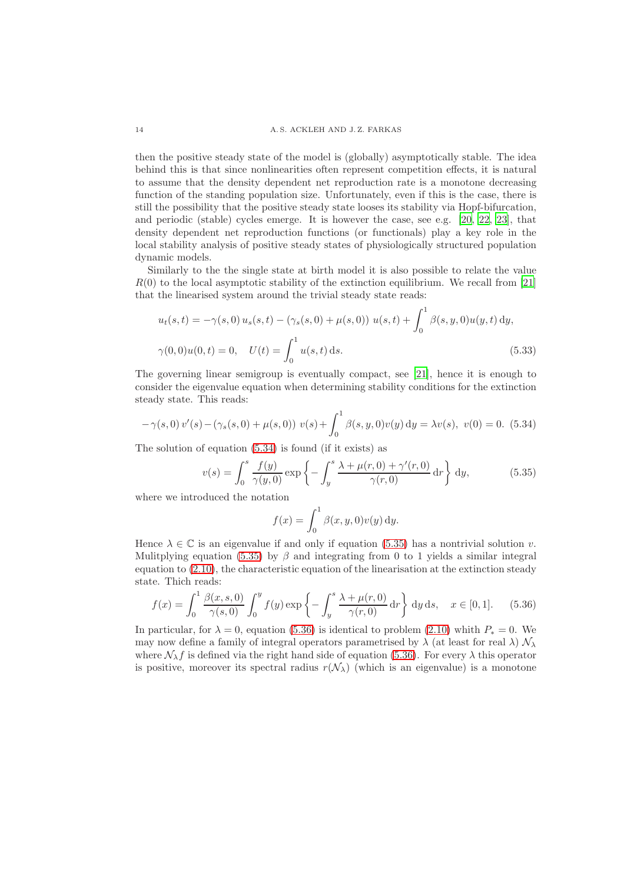then the positive steady state of the model is (globally) asymptotically stable. The idea behind this is that since nonlinearities often represent competition effects, it is natural to assume that the density dependent net reproduction rate is a monotone decreasing function of the standing population size. Unfortunately, even if this is the case, there is still the possibility that the positive steady state looses its stability via Hopf-bifurcation, and periodic (stable) cycles emerge. It is however the case, see e.g. [\[20,](#page-15-5) [22,](#page-15-6) [23\]](#page-15-13), that density dependent net reproduction functions (or functionals) play a key role in the local stability analysis of positive steady states of physiologically structured population dynamic models.

Similarly to the the single state at birth model it is also possible to relate the value  $R(0)$  to the local asymptotic stability of the extinction equilibrium. We recall from [\[21\]](#page-15-7) that the linearised system around the trivial steady state reads:

$$
u_t(s,t) = -\gamma(s,0) u_s(s,t) - (\gamma_s(s,0) + \mu(s,0)) u(s,t) + \int_0^1 \beta(s,y,0) u(y,t) dy,
$$
  

$$
\gamma(0,0)u(0,t) = 0, \quad U(t) = \int_0^1 u(s,t) ds.
$$
 (5.33)

The governing linear semigroup is eventually compact, see [\[21\]](#page-15-7), hence it is enough to consider the eigenvalue equation when determining stability conditions for the extinction steady state. This reads:

<span id="page-13-0"></span>
$$
-\gamma(s,0) v'(s) - (\gamma_s(s,0) + \mu(s,0)) v(s) + \int_0^1 \beta(s,y,0) v(y) dy = \lambda v(s), v(0) = 0.
$$
 (5.34)

The solution of equation [\(5.34\)](#page-13-0) is found (if it exists) as

<span id="page-13-1"></span>
$$
v(s) = \int_0^s \frac{f(y)}{\gamma(y,0)} \exp\left\{-\int_y^s \frac{\lambda + \mu(r,0) + \gamma'(r,0)}{\gamma(r,0)} dr\right\} dy,
$$
 (5.35)

where we introduced the notation

$$
f(x) = \int_0^1 \beta(x, y, 0)v(y) dy.
$$

Hence  $\lambda \in \mathbb{C}$  is an eigenvalue if and only if equation [\(5.35\)](#page-13-1) has a nontrivial solution v. Mulitplying equation [\(5.35\)](#page-13-1) by  $\beta$  and integrating from 0 to 1 yields a similar integral equation to [\(2.10\)](#page-4-0), the characteristic equation of the linearisation at the extinction steady state. Thich reads:

<span id="page-13-2"></span>
$$
f(x) = \int_0^1 \frac{\beta(x, s, 0)}{\gamma(s, 0)} \int_0^y f(y) \exp\left\{-\int_y^s \frac{\lambda + \mu(r, 0)}{\gamma(r, 0)} dr\right\} dy ds, \quad x \in [0, 1].
$$
 (5.36)

In particular, for  $\lambda = 0$ , equation [\(5.36\)](#page-13-2) is identical to problem [\(2.10\)](#page-4-0) whith  $P_* = 0$ . We may now define a family of integral operators parametrised by  $\lambda$  (at least for real  $\lambda$ )  $\mathcal{N}_{\lambda}$ where  $\mathcal{N}_{\lambda}f$  is defined via the right hand side of equation [\(5.36\)](#page-13-2). For every  $\lambda$  this operator is positive, moreover its spectral radius  $r(\mathcal{N}_{\lambda})$  (which is an eigenvalue) is a monotone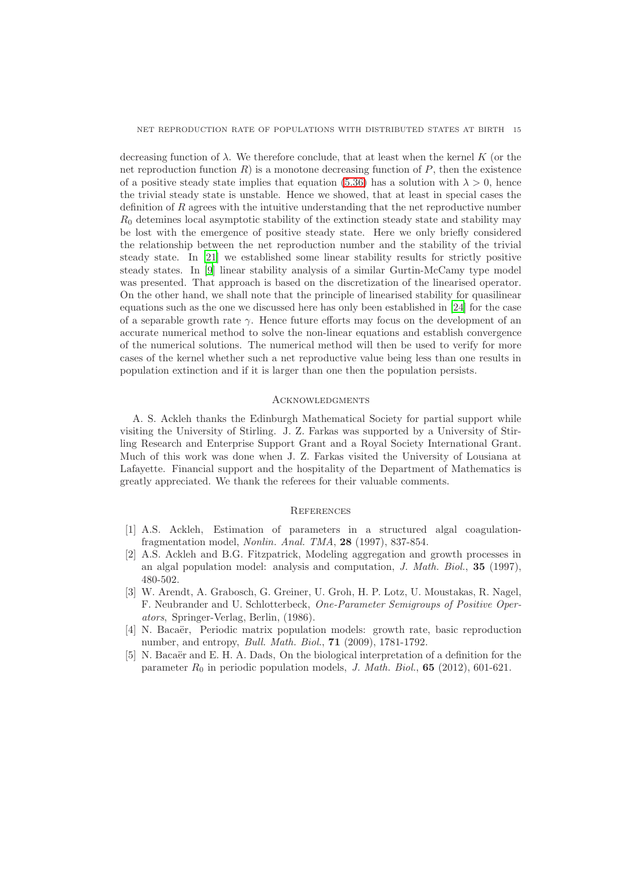decreasing function of  $\lambda$ . We therefore conclude, that at least when the kernel K (or the net reproduction function  $R$ ) is a monotone decreasing function of  $P$ , then the existence of a positive steady state implies that equation [\(5.36\)](#page-13-2) has a solution with  $\lambda > 0$ , hence the trivial steady state is unstable. Hence we showed, that at least in special cases the definition of R agrees with the intuitive understanding that the net reproductive number  $R_0$  detemines local asymptotic stability of the extinction steady state and stability may be lost with the emergence of positive steady state. Here we only briefly considered the relationship between the net reproduction number and the stability of the trivial steady state. In [\[21\]](#page-15-7) we established some linear stability results for strictly positive steady states. In [\[9\]](#page-15-15) linear stability analysis of a similar Gurtin-McCamy type model was presented. That approach is based on the discretization of the linearised operator. On the other hand, we shall note that the principle of linearised stability for quasilinear equations such as the one we discussed here has only been established in [\[24](#page-15-16)] for the case of a separable growth rate  $\gamma$ . Hence future efforts may focus on the development of an accurate numerical method to solve the non-linear equations and establish convergence of the numerical solutions. The numerical method will then be used to verify for more cases of the kernel whether such a net reproductive value being less than one results in population extinction and if it is larger than one then the population persists.

## **ACKNOWLEDGMENTS**

A. S. Ackleh thanks the Edinburgh Mathematical Society for partial support while visiting the University of Stirling. J. Z. Farkas was supported by a University of Stirling Research and Enterprise Support Grant and a Royal Society International Grant. Much of this work was done when J. Z. Farkas visited the University of Lousiana at Lafayette. Financial support and the hospitality of the Department of Mathematics is greatly appreciated. We thank the referees for their valuable comments.

# **REFERENCES**

- <span id="page-14-3"></span>[1] A.S. Ackleh, Estimation of parameters in a structured algal coagulationfragmentation model, *Nonlin. Anal. TMA*, 28 (1997), 837-854.
- <span id="page-14-4"></span>[2] A.S. Ackleh and B.G. Fitzpatrick, Modeling aggregation and growth processes in an algal population model: analysis and computation, *J. Math. Biol.*, 35 (1997), 480-502.
- <span id="page-14-0"></span>[3] W. Arendt, A. Grabosch, G. Greiner, U. Groh, H. P. Lotz, U. Moustakas, R. Nagel, F. Neubrander and U. Schlotterbeck, *One-Parameter Semigroups of Positive Operators*, Springer-Verlag, Berlin, (1986).
- <span id="page-14-1"></span>[4] N. Bacaër, Periodic matrix population models: growth rate, basic reproduction number, and entropy, *Bull. Math. Biol.*, 71 (2009), 1781-1792.
- <span id="page-14-2"></span>[5] N. Bacaër and E. H. A. Dads, On the biological interpretation of a definition for the parameter  $R_0$  in periodic population models, *J. Math. Biol.*, **65** (2012), 601-621.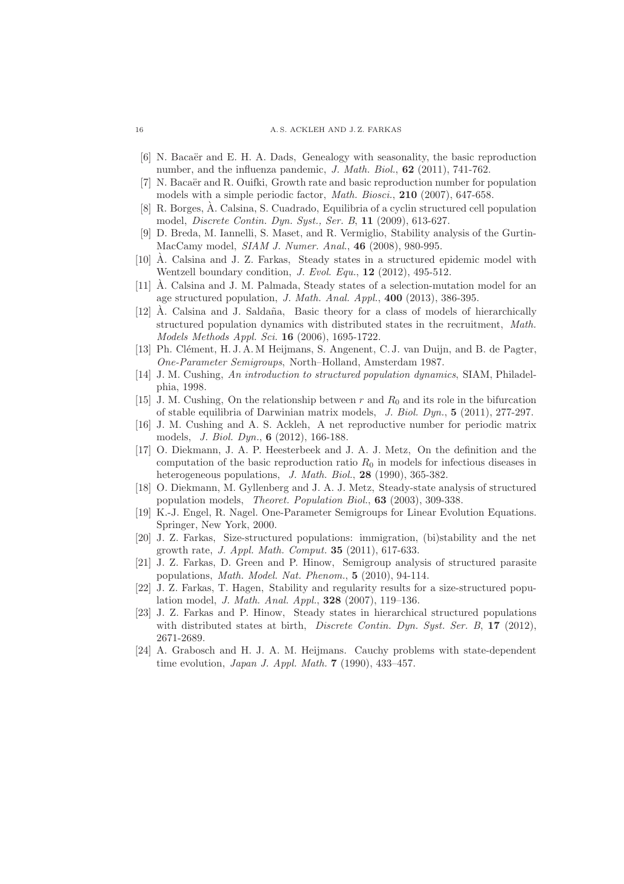#### 16 A. S. ACKLEH AND J. Z. FARKAS

- [6] N. Bacaër and E. H. A. Dads, Genealogy with seasonality, the basic reproduction number, and the influenza pandemic, *J. Math. Biol.*, 62 (2011), 741-762.
- <span id="page-15-3"></span> $[7]$  N. Bacaër and R. Ouifki, Growth rate and basic reproduction number for population models with a simple periodic factor, *Math. Biosci.*, 210 (2007), 647-658.
- <span id="page-15-9"></span> $[8]$  R. Borges, A. Calsina, S. Cuadrado, Equilibria of a cyclin structured cell population model, *Discrete Contin. Dyn. Syst., Ser. B*, 11 (2009), 613-627.
- <span id="page-15-15"></span>[9] D. Breda, M. Iannelli, S. Maset, and R. Vermiglio, Stability analysis of the Gurtin-MacCamy model, *SIAM J. Numer. Anal.*, 46 (2008), 980-995.
- <span id="page-15-11"></span>[10]  $\hat{A}$ . Calsina and J. Z. Farkas, Steady states in a structured epidemic model with Wentzell boundary condition, *J. Evol. Equ.*, 12 (2012), 495-512.
- <span id="page-15-12"></span> $[11]$   $\AA$ . Calsina and J. M. Palmada, Steady states of a selection-mutation model for an age structured population, *J. Math. Anal. Appl.*, 400 (2013), 386-395.
- <span id="page-15-8"></span> $[12]$   $\AA$ . Calsina and J. Saldaña, Basic theory for a class of models of hierarchically structured population dynamics with distributed states in the recruitment, *Math. Models Methods Appl. Sci.* 16 (2006), 1695-1722.
- <span id="page-15-2"></span>[13] Ph. Clément, H. J. A. M Heijmans, S. Angenent, C. J. van Duijn, and B. de Pagter, *One-Parameter Semigroups*, North–Holland, Amsterdam 1987.
- <span id="page-15-1"></span>[14] J. M. Cushing, *An introduction to structured population dynamics*, SIAM, Philadelphia, 1998.
- [15] J. M. Cushing, On the relationship between  $r$  and  $R_0$  and its role in the bifurcation of stable equilibria of Darwinian matrix models, *J. Biol. Dyn.*, 5 (2011), 277-297.
- <span id="page-15-4"></span>[16] J. M. Cushing and A. S. Ackleh, A net reproductive number for periodic matrix models, *J. Biol. Dyn.*, 6 (2012), 166-188.
- <span id="page-15-0"></span>[17] O. Diekmann, J. A. P. Heesterbeek and J. A. J. Metz, On the definition and the computation of the basic reproduction ratio  $R_0$  in models for infectious diseases in heterogeneous populations, *J. Math. Biol.*, 28 (1990), 365-382.
- <span id="page-15-14"></span>[18] O. Diekmann, M. Gyllenberg and J. A. J. Metz, Steady-state analysis of structured population models, *Theoret. Population Biol.*, 63 (2003), 309-338.
- <span id="page-15-10"></span>[19] K.-J. Engel, R. Nagel. One-Parameter Semigroups for Linear Evolution Equations. Springer, New York, 2000.
- <span id="page-15-5"></span>[20] J. Z. Farkas, Size-structured populations: immigration, (bi)stability and the net growth rate, *J. Appl. Math. Comput.* 35 (2011), 617-633.
- <span id="page-15-7"></span>[21] J. Z. Farkas, D. Green and P. Hinow, Semigroup analysis of structured parasite populations, *Math. Model. Nat. Phenom.*, 5 (2010), 94-114.
- <span id="page-15-6"></span>[22] J. Z. Farkas, T. Hagen, Stability and regularity results for a size-structured population model, *J. Math. Anal. Appl.*, 328 (2007), 119–136.
- <span id="page-15-13"></span>[23] J. Z. Farkas and P. Hinow, Steady states in hierarchical structured populations with distributed states at birth, *Discrete Contin. Dyn. Syst. Ser. B*, 17 (2012), 2671-2689.
- <span id="page-15-16"></span>[24] A. Grabosch and H. J. A. M. Heijmans. Cauchy problems with state-dependent time evolution, *Japan J. Appl. Math.* 7 (1990), 433–457.